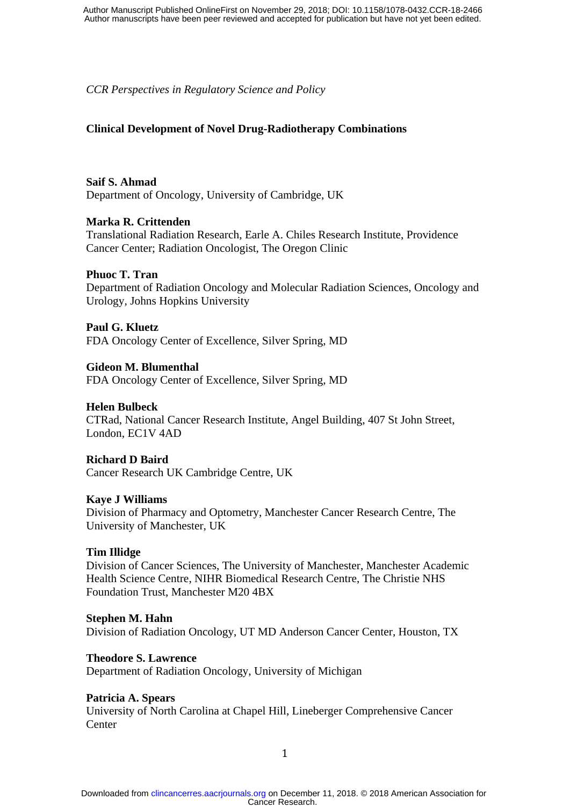*CCR Perspectives in Regulatory Science and Policy*

# **Clinical Development of Novel Drug-Radiotherapy Combinations**

#### **Saif S. Ahmad**

Department of Oncology, University of Cambridge, UK

#### **Marka R. Crittenden**

Translational Radiation Research, Earle A. Chiles Research Institute, Providence Cancer Center; Radiation Oncologist, The Oregon Clinic

#### **Phuoc T. Tran**

Department of Radiation Oncology and Molecular Radiation Sciences, Oncology and Urology, Johns Hopkins University

# **Paul G. Kluetz**

FDA Oncology Center of Excellence, Silver Spring, MD

#### **Gideon M. Blumenthal**

FDA Oncology Center of Excellence, Silver Spring, MD

#### **Helen Bulbeck**

CTRad, National Cancer Research Institute, Angel Building, 407 St John Street, London, EC1V 4AD

#### **Richard D Baird**

Cancer Research UK Cambridge Centre, UK

#### **Kaye J Williams**

Division of Pharmacy and Optometry, Manchester Cancer Research Centre, The University of Manchester, UK

#### **Tim Illidge**

Division of Cancer Sciences, The University of Manchester, Manchester Academic Health Science Centre, NIHR Biomedical Research Centre, The Christie NHS Foundation Trust, Manchester M20 4BX

#### **Stephen M. Hahn**

Division of Radiation Oncology, UT MD Anderson Cancer Center, Houston, TX

#### **Theodore S. Lawrence**

Department of Radiation Oncology, University of Michigan

#### **Patricia A. Spears**

University of North Carolina at Chapel Hill, Lineberger Comprehensive Cancer **Center**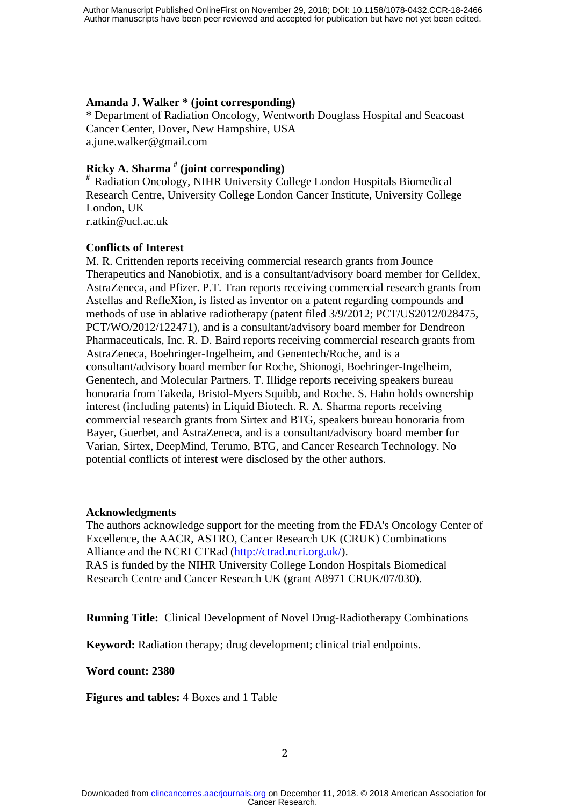#### **Amanda J. Walker \* (joint corresponding)**

\* Department of Radiation Oncology, Wentworth Douglass Hospital and Seacoast Cancer Center, Dover, New Hampshire, USA a.june.walker@gmail.com

# **Ricky A. Sharma # (joint corresponding)**

**#** Radiation Oncology, NIHR University College London Hospitals Biomedical Research Centre, University College London Cancer Institute, University College London, UK r.atkin@ucl.ac.uk

#### **Conflicts of Interest**

M. R. Crittenden reports receiving commercial research grants from Jounce Therapeutics and Nanobiotix, and is a consultant/advisory board member for Celldex, AstraZeneca, and Pfizer. P.T. Tran reports receiving commercial research grants from Astellas and RefleXion, is listed as inventor on a patent regarding compounds and methods of use in ablative radiotherapy (patent filed 3/9/2012; PCT/US2012/028475, PCT/WO/2012/122471), and is a consultant/advisory board member for Dendreon Pharmaceuticals, Inc. R. D. Baird reports receiving commercial research grants from AstraZeneca, Boehringer-Ingelheim, and Genentech/Roche, and is a consultant/advisory board member for Roche, Shionogi, Boehringer-Ingelheim, Genentech, and Molecular Partners. T. Illidge reports receiving speakers bureau honoraria from Takeda, Bristol-Myers Squibb, and Roche. S. Hahn holds ownership interest (including patents) in Liquid Biotech. R. A. Sharma reports receiving commercial research grants from Sirtex and BTG, speakers bureau honoraria from Bayer, Guerbet, and AstraZeneca, and is a consultant/advisory board member for Varian, Sirtex, DeepMind, Terumo, BTG, and Cancer Research Technology. No potential conflicts of interest were disclosed by the other authors.

#### **Acknowledgments**

The authors acknowledge support for the meeting from the FDA's Oncology Center of Excellence, the AACR, ASTRO, Cancer Research UK (CRUK) Combinations Alliance and the NCRI CTRad [\(http://ctrad.ncri.org.uk/\)](http://ctrad.ncri.org.uk/). RAS is funded by the NIHR University College London Hospitals Biomedical Research Centre and Cancer Research UK (grant A8971 CRUK/07/030).

**Running Title:** Clinical Development of Novel Drug-Radiotherapy Combinations

**Keyword:** Radiation therapy; drug development; clinical trial endpoints.

**Word count: 2380** 

**Figures and tables:** 4 Boxes and 1 Table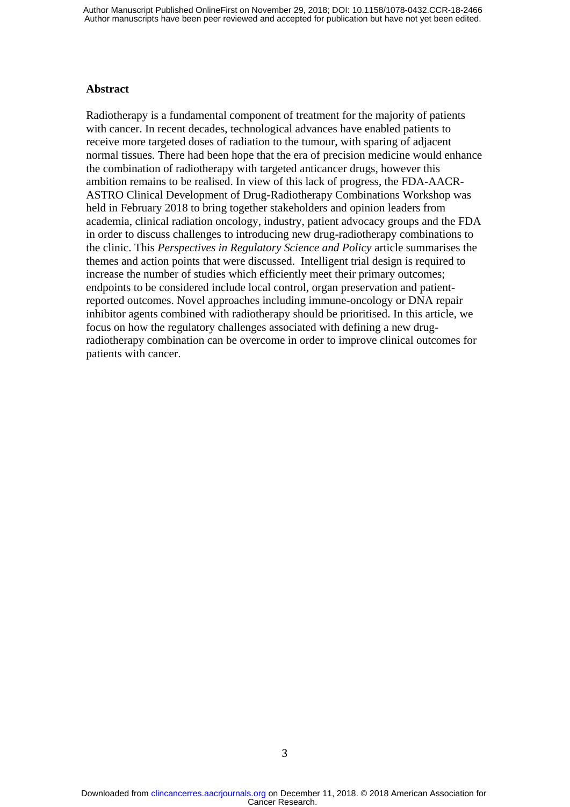#### **Abstract**

Radiotherapy is a fundamental component of treatment for the majority of patients with cancer. In recent decades, technological advances have enabled patients to receive more targeted doses of radiation to the tumour, with sparing of adjacent normal tissues. There had been hope that the era of precision medicine would enhance the combination of radiotherapy with targeted anticancer drugs, however this ambition remains to be realised. In view of this lack of progress, the FDA-AACR-ASTRO Clinical Development of Drug-Radiotherapy Combinations Workshop was held in February 2018 to bring together stakeholders and opinion leaders from academia, clinical radiation oncology, industry, patient advocacy groups and the FDA in order to discuss challenges to introducing new drug-radiotherapy combinations to the clinic. This *Perspectives in Regulatory Science and Policy* article summarises the themes and action points that were discussed. Intelligent trial design is required to increase the number of studies which efficiently meet their primary outcomes; endpoints to be considered include local control, organ preservation and patientreported outcomes. Novel approaches including immune-oncology or DNA repair inhibitor agents combined with radiotherapy should be prioritised. In this article, we focus on how the regulatory challenges associated with defining a new drugradiotherapy combination can be overcome in order to improve clinical outcomes for patients with cancer.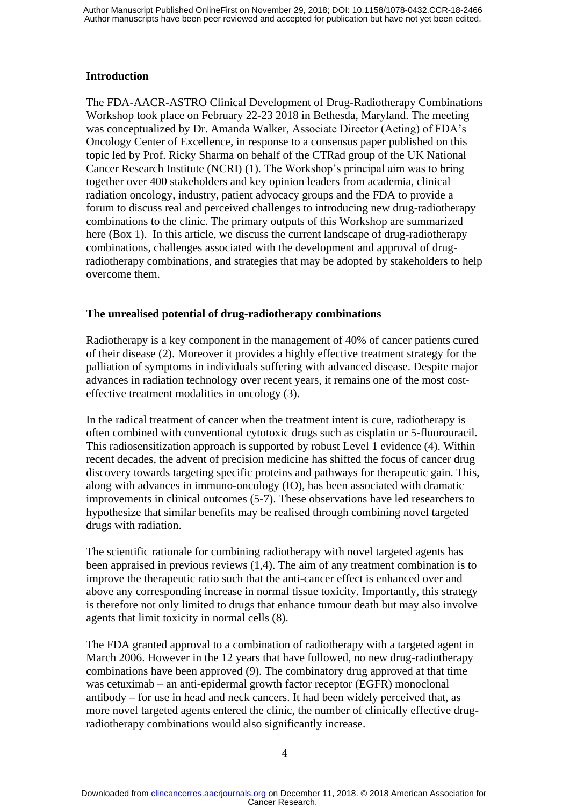#### **Introduction**

The FDA-AACR-ASTRO Clinical Development of Drug-Radiotherapy Combinations Workshop took place on February 22-23 2018 in Bethesda, Maryland. The meeting was conceptualized by Dr. Amanda Walker, Associate Director (Acting) of FDA's Oncology Center of Excellence, in response to a consensus paper published on this topic led by Prof. Ricky Sharma on behalf of the CTRad group of the UK National Cancer Research Institute (NCRI) (1). The Workshop's principal aim was to bring together over 400 stakeholders and key opinion leaders from academia, clinical radiation oncology, industry, patient advocacy groups and the FDA to provide a forum to discuss real and perceived challenges to introducing new drug-radiotherapy combinations to the clinic. The primary outputs of this Workshop are summarized here (Box 1). In this article, we discuss the current landscape of drug-radiotherapy combinations, challenges associated with the development and approval of drugradiotherapy combinations, and strategies that may be adopted by stakeholders to help overcome them.

#### **The unrealised potential of drug-radiotherapy combinations**

Radiotherapy is a key component in the management of 40% of cancer patients cured of their disease (2). Moreover it provides a highly effective treatment strategy for the palliation of symptoms in individuals suffering with advanced disease. Despite major advances in radiation technology over recent years, it remains one of the most costeffective treatment modalities in oncology (3).

In the radical treatment of cancer when the treatment intent is cure, radiotherapy is often combined with conventional cytotoxic drugs such as cisplatin or 5-fluorouracil. This radiosensitization approach is supported by robust Level 1 evidence (4). Within recent decades, the advent of precision medicine has shifted the focus of cancer drug discovery towards targeting specific proteins and pathways for therapeutic gain. This, along with advances in immuno-oncology (IO), has been associated with dramatic improvements in clinical outcomes (5-7). These observations have led researchers to hypothesize that similar benefits may be realised through combining novel targeted drugs with radiation.

The scientific rationale for combining radiotherapy with novel targeted agents has been appraised in previous reviews (1,4). The aim of any treatment combination is to improve the therapeutic ratio such that the anti-cancer effect is enhanced over and above any corresponding increase in normal tissue toxicity. Importantly, this strategy is therefore not only limited to drugs that enhance tumour death but may also involve agents that limit toxicity in normal cells (8).

The FDA granted approval to a combination of radiotherapy with a targeted agent in March 2006. However in the 12 years that have followed, no new drug-radiotherapy combinations have been approved (9). The combinatory drug approved at that time was cetuximab – an anti-epidermal growth factor receptor (EGFR) monoclonal antibody – for use in head and neck cancers. It had been widely perceived that, as more novel targeted agents entered the clinic, the number of clinically effective drugradiotherapy combinations would also significantly increase.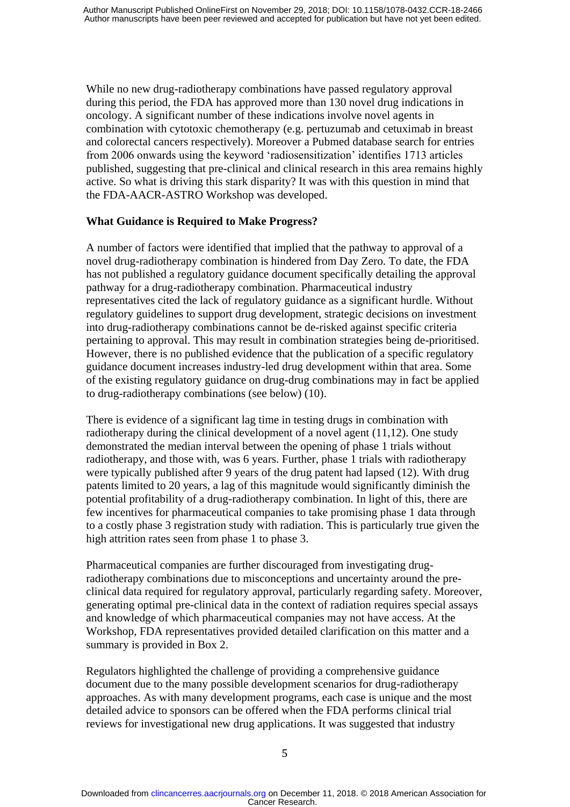While no new drug-radiotherapy combinations have passed regulatory approval during this period, the FDA has approved more than 130 novel drug indications in oncology. A significant number of these indications involve novel agents in combination with cytotoxic chemotherapy (e.g. pertuzumab and cetuximab in breast and colorectal cancers respectively). Moreover a Pubmed database search for entries from 2006 onwards using the keyword 'radiosensitization' identifies 1713 articles published, suggesting that pre-clinical and clinical research in this area remains highly active. So what is driving this stark disparity? It was with this question in mind that the FDA-AACR-ASTRO Workshop was developed.

# **What Guidance is Required to Make Progress?**

A number of factors were identified that implied that the pathway to approval of a novel drug-radiotherapy combination is hindered from Day Zero. To date, the FDA has not published a regulatory guidance document specifically detailing the approval pathway for a drug-radiotherapy combination. Pharmaceutical industry representatives cited the lack of regulatory guidance as a significant hurdle. Without regulatory guidelines to support drug development, strategic decisions on investment into drug-radiotherapy combinations cannot be de-risked against specific criteria pertaining to approval. This may result in combination strategies being de-prioritised. However, there is no published evidence that the publication of a specific regulatory guidance document increases industry-led drug development within that area. Some of the existing regulatory guidance on drug-drug combinations may in fact be applied to drug-radiotherapy combinations (see below) (10).

There is evidence of a significant lag time in testing drugs in combination with radiotherapy during the clinical development of a novel agent (11,12). One study demonstrated the median interval between the opening of phase 1 trials without radiotherapy, and those with, was 6 years. Further, phase 1 trials with radiotherapy were typically published after 9 years of the drug patent had lapsed (12). With drug patents limited to 20 years, a lag of this magnitude would significantly diminish the potential profitability of a drug-radiotherapy combination. In light of this, there are few incentives for pharmaceutical companies to take promising phase 1 data through to a costly phase 3 registration study with radiation. This is particularly true given the high attrition rates seen from phase 1 to phase 3.

Pharmaceutical companies are further discouraged from investigating drugradiotherapy combinations due to misconceptions and uncertainty around the preclinical data required for regulatory approval, particularly regarding safety. Moreover, generating optimal pre-clinical data in the context of radiation requires special assays and knowledge of which pharmaceutical companies may not have access. At the Workshop, FDA representatives provided detailed clarification on this matter and a summary is provided in Box 2.

Regulators highlighted the challenge of providing a comprehensive guidance document due to the many possible development scenarios for drug-radiotherapy approaches. As with many development programs, each case is unique and the most detailed advice to sponsors can be offered when the FDA performs clinical trial reviews for investigational new drug applications. It was suggested that industry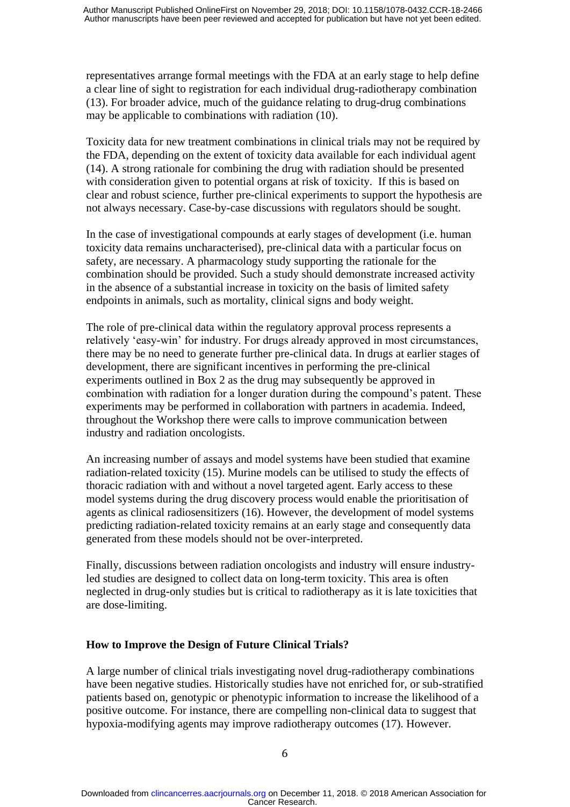representatives arrange formal meetings with the FDA at an early stage to help define a clear line of sight to registration for each individual drug-radiotherapy combination (13). For broader advice, much of the guidance relating to drug-drug combinations may be applicable to combinations with radiation (10).

Toxicity data for new treatment combinations in clinical trials may not be required by the FDA, depending on the extent of toxicity data available for each individual agent (14). A strong rationale for combining the drug with radiation should be presented with consideration given to potential organs at risk of toxicity. If this is based on clear and robust science, further pre-clinical experiments to support the hypothesis are not always necessary. Case-by-case discussions with regulators should be sought.

In the case of investigational compounds at early stages of development (i.e. human toxicity data remains uncharacterised), pre-clinical data with a particular focus on safety, are necessary. A pharmacology study supporting the rationale for the combination should be provided. Such a study should demonstrate increased activity in the absence of a substantial increase in toxicity on the basis of limited safety endpoints in animals, such as mortality, clinical signs and body weight.

The role of pre-clinical data within the regulatory approval process represents a relatively 'easy-win' for industry. For drugs already approved in most circumstances, there may be no need to generate further pre-clinical data. In drugs at earlier stages of development, there are significant incentives in performing the pre-clinical experiments outlined in Box 2 as the drug may subsequently be approved in combination with radiation for a longer duration during the compound's patent. These experiments may be performed in collaboration with partners in academia. Indeed, throughout the Workshop there were calls to improve communication between industry and radiation oncologists.

An increasing number of assays and model systems have been studied that examine radiation-related toxicity (15). Murine models can be utilised to study the effects of thoracic radiation with and without a novel targeted agent. Early access to these model systems during the drug discovery process would enable the prioritisation of agents as clinical radiosensitizers (16). However, the development of model systems predicting radiation-related toxicity remains at an early stage and consequently data generated from these models should not be over-interpreted.

Finally, discussions between radiation oncologists and industry will ensure industryled studies are designed to collect data on long-term toxicity. This area is often neglected in drug-only studies but is critical to radiotherapy as it is late toxicities that are dose-limiting.

# **How to Improve the Design of Future Clinical Trials?**

A large number of clinical trials investigating novel drug-radiotherapy combinations have been negative studies. Historically studies have not enriched for, or sub-stratified patients based on, genotypic or phenotypic information to increase the likelihood of a positive outcome. For instance, there are compelling non-clinical data to suggest that hypoxia-modifying agents may improve radiotherapy outcomes (17). However.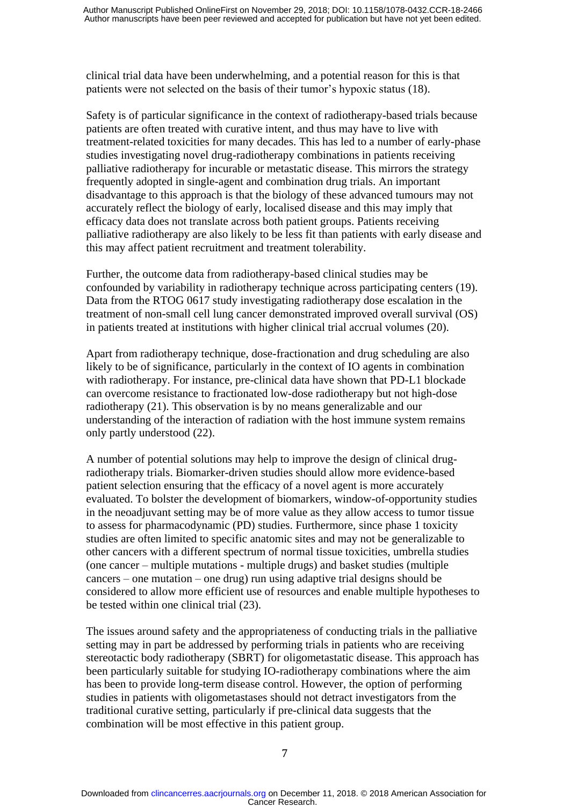clinical trial data have been underwhelming, and a potential reason for this is that patients were not selected on the basis of their tumor's hypoxic status (18).

Safety is of particular significance in the context of radiotherapy-based trials because patients are often treated with curative intent, and thus may have to live with treatment-related toxicities for many decades. This has led to a number of early-phase studies investigating novel drug-radiotherapy combinations in patients receiving palliative radiotherapy for incurable or metastatic disease. This mirrors the strategy frequently adopted in single-agent and combination drug trials. An important disadvantage to this approach is that the biology of these advanced tumours may not accurately reflect the biology of early, localised disease and this may imply that efficacy data does not translate across both patient groups. Patients receiving palliative radiotherapy are also likely to be less fit than patients with early disease and this may affect patient recruitment and treatment tolerability.

Further, the outcome data from radiotherapy-based clinical studies may be confounded by variability in radiotherapy technique across participating centers (19). Data from the RTOG 0617 study investigating radiotherapy dose escalation in the treatment of non-small cell lung cancer demonstrated improved overall survival (OS) in patients treated at institutions with higher clinical trial accrual volumes (20).

Apart from radiotherapy technique, dose-fractionation and drug scheduling are also likely to be of significance, particularly in the context of IO agents in combination with radiotherapy. For instance, pre-clinical data have shown that PD-L1 blockade can overcome resistance to fractionated low-dose radiotherapy but not high-dose radiotherapy (21). This observation is by no means generalizable and our understanding of the interaction of radiation with the host immune system remains only partly understood (22).

A number of potential solutions may help to improve the design of clinical drugradiotherapy trials. Biomarker-driven studies should allow more evidence-based patient selection ensuring that the efficacy of a novel agent is more accurately evaluated. To bolster the development of biomarkers, window-of-opportunity studies in the neoadjuvant setting may be of more value as they allow access to tumor tissue to assess for pharmacodynamic (PD) studies. Furthermore, since phase 1 toxicity studies are often limited to specific anatomic sites and may not be generalizable to other cancers with a different spectrum of normal tissue toxicities, umbrella studies (one cancer – multiple mutations - multiple drugs) and basket studies (multiple cancers – one mutation – one drug) run using adaptive trial designs should be considered to allow more efficient use of resources and enable multiple hypotheses to be tested within one clinical trial (23).

The issues around safety and the appropriateness of conducting trials in the palliative setting may in part be addressed by performing trials in patients who are receiving stereotactic body radiotherapy (SBRT) for oligometastatic disease. This approach has been particularly suitable for studying IO-radiotherapy combinations where the aim has been to provide long-term disease control. However, the option of performing studies in patients with oligometastases should not detract investigators from the traditional curative setting, particularly if pre-clinical data suggests that the combination will be most effective in this patient group.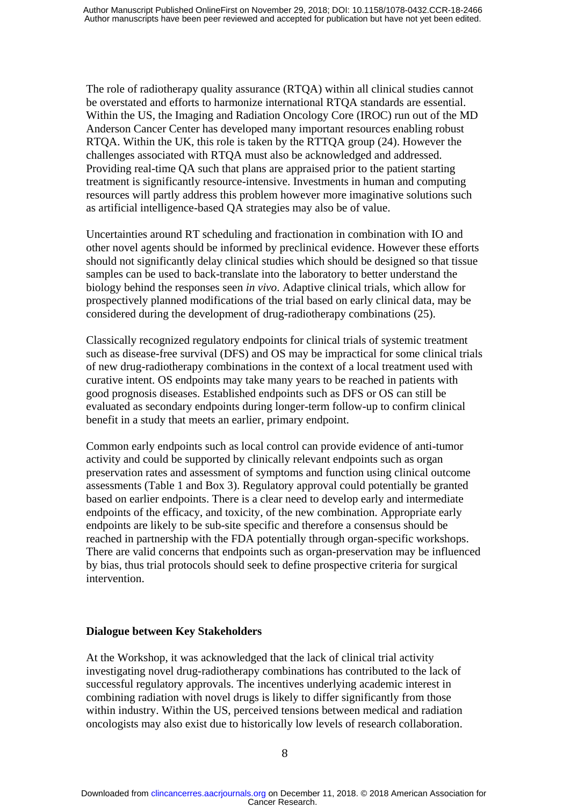The role of radiotherapy quality assurance (RTQA) within all clinical studies cannot be overstated and efforts to harmonize international RTQA standards are essential. Within the US, the Imaging and Radiation Oncology Core (IROC) run out of the MD Anderson Cancer Center has developed many important resources enabling robust RTQA. Within the UK, this role is taken by the RTTQA group (24). However the challenges associated with RTQA must also be acknowledged and addressed. Providing real-time QA such that plans are appraised prior to the patient starting treatment is significantly resource-intensive. Investments in human and computing resources will partly address this problem however more imaginative solutions such as artificial intelligence-based QA strategies may also be of value.

Uncertainties around RT scheduling and fractionation in combination with IO and other novel agents should be informed by preclinical evidence. However these efforts should not significantly delay clinical studies which should be designed so that tissue samples can be used to back-translate into the laboratory to better understand the biology behind the responses seen *in vivo*. Adaptive clinical trials, which allow for prospectively planned modifications of the trial based on early clinical data, may be considered during the development of drug-radiotherapy combinations (25).

Classically recognized regulatory endpoints for clinical trials of systemic treatment such as disease-free survival (DFS) and OS may be impractical for some clinical trials of new drug-radiotherapy combinations in the context of a local treatment used with curative intent. OS endpoints may take many years to be reached in patients with good prognosis diseases. Established endpoints such as DFS or OS can still be evaluated as secondary endpoints during longer-term follow-up to confirm clinical benefit in a study that meets an earlier, primary endpoint.

Common early endpoints such as local control can provide evidence of anti-tumor activity and could be supported by clinically relevant endpoints such as organ preservation rates and assessment of symptoms and function using clinical outcome assessments (Table 1 and Box 3). Regulatory approval could potentially be granted based on earlier endpoints. There is a clear need to develop early and intermediate endpoints of the efficacy, and toxicity, of the new combination. Appropriate early endpoints are likely to be sub-site specific and therefore a consensus should be reached in partnership with the FDA potentially through organ-specific workshops. There are valid concerns that endpoints such as organ-preservation may be influenced by bias, thus trial protocols should seek to define prospective criteria for surgical intervention.

#### **Dialogue between Key Stakeholders**

At the Workshop, it was acknowledged that the lack of clinical trial activity investigating novel drug-radiotherapy combinations has contributed to the lack of successful regulatory approvals. The incentives underlying academic interest in combining radiation with novel drugs is likely to differ significantly from those within industry. Within the US, perceived tensions between medical and radiation oncologists may also exist due to historically low levels of research collaboration.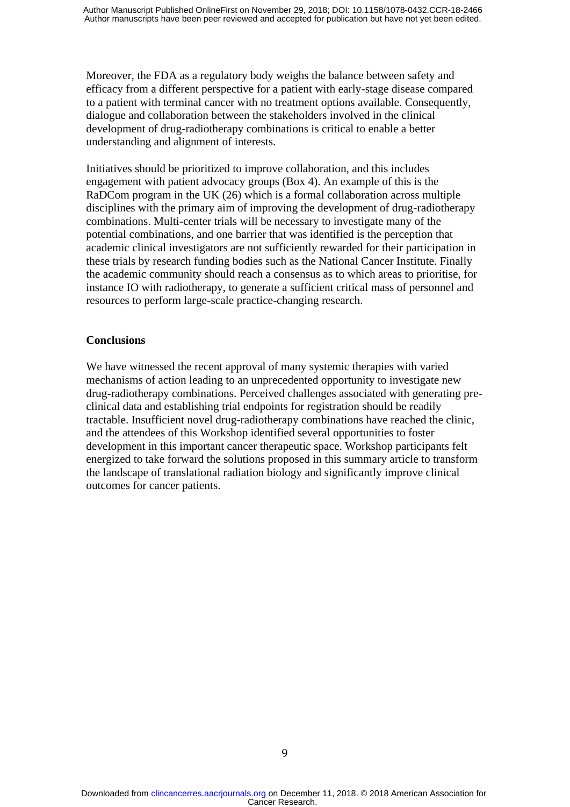Moreover, the FDA as a regulatory body weighs the balance between safety and efficacy from a different perspective for a patient with early-stage disease compared to a patient with terminal cancer with no treatment options available. Consequently, dialogue and collaboration between the stakeholders involved in the clinical development of drug-radiotherapy combinations is critical to enable a better understanding and alignment of interests.

Initiatives should be prioritized to improve collaboration, and this includes engagement with patient advocacy groups (Box 4). An example of this is the RaDCom program in the UK (26) which is a formal collaboration across multiple disciplines with the primary aim of improving the development of drug-radiotherapy combinations. Multi-center trials will be necessary to investigate many of the potential combinations, and one barrier that was identified is the perception that academic clinical investigators are not sufficiently rewarded for their participation in these trials by research funding bodies such as the National Cancer Institute. Finally the academic community should reach a consensus as to which areas to prioritise, for instance IO with radiotherapy, to generate a sufficient critical mass of personnel and resources to perform large-scale practice-changing research.

#### **Conclusions**

We have witnessed the recent approval of many systemic therapies with varied mechanisms of action leading to an unprecedented opportunity to investigate new drug-radiotherapy combinations. Perceived challenges associated with generating preclinical data and establishing trial endpoints for registration should be readily tractable. Insufficient novel drug-radiotherapy combinations have reached the clinic, and the attendees of this Workshop identified several opportunities to foster development in this important cancer therapeutic space. Workshop participants felt energized to take forward the solutions proposed in this summary article to transform the landscape of translational radiation biology and significantly improve clinical outcomes for cancer patients.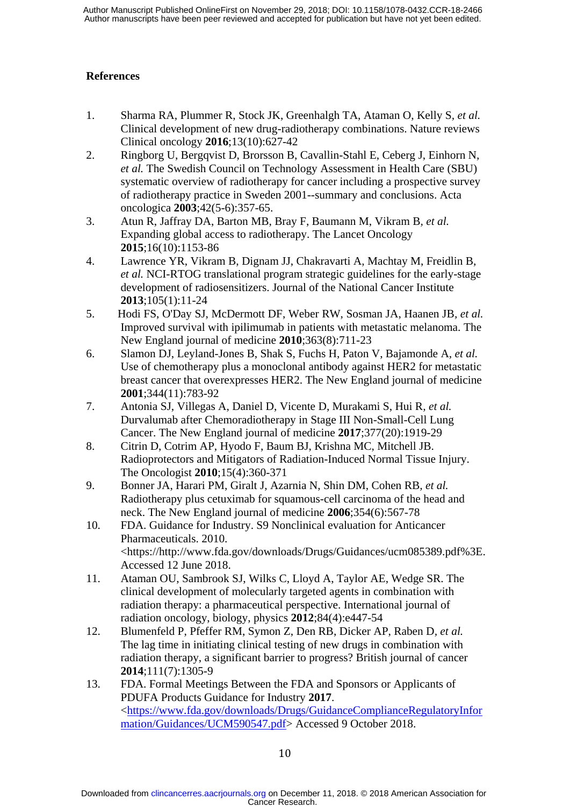# **References**

- 1. Sharma RA, Plummer R, Stock JK, Greenhalgh TA, Ataman O, Kelly S*, et al.* Clinical development of new drug-radiotherapy combinations. Nature reviews Clinical oncology **2016**;13(10):627-42
- 2. Ringborg U, Bergqvist D, Brorsson B, Cavallin-Stahl E, Ceberg J, Einhorn N*, et al.* The Swedish Council on Technology Assessment in Health Care (SBU) systematic overview of radiotherapy for cancer including a prospective survey of radiotherapy practice in Sweden 2001--summary and conclusions. Acta oncologica **2003**;42(5-6):357-65.
- 3. Atun R, Jaffray DA, Barton MB, Bray F, Baumann M, Vikram B*, et al.* Expanding global access to radiotherapy. The Lancet Oncology **2015**;16(10):1153-86
- 4. Lawrence YR, Vikram B, Dignam JJ, Chakravarti A, Machtay M, Freidlin B*, et al.* NCI-RTOG translational program strategic guidelines for the early-stage development of radiosensitizers. Journal of the National Cancer Institute **2013**;105(1):11-24
- 5. Hodi FS, O'Day SJ, McDermott DF, Weber RW, Sosman JA, Haanen JB*, et al.* Improved survival with ipilimumab in patients with metastatic melanoma. The New England journal of medicine **2010**;363(8):711-23
- 6. Slamon DJ, Leyland-Jones B, Shak S, Fuchs H, Paton V, Bajamonde A*, et al.* Use of chemotherapy plus a monoclonal antibody against HER2 for metastatic breast cancer that overexpresses HER2. The New England journal of medicine **2001**;344(11):783-92
- 7. Antonia SJ, Villegas A, Daniel D, Vicente D, Murakami S, Hui R*, et al.* Durvalumab after Chemoradiotherapy in Stage III Non-Small-Cell Lung Cancer. The New England journal of medicine **2017**;377(20):1919-29
- 8. Citrin D, Cotrim AP, Hyodo F, Baum BJ, Krishna MC, Mitchell JB. Radioprotectors and Mitigators of Radiation-Induced Normal Tissue Injury. The Oncologist **2010**;15(4):360-371
- 9. Bonner JA, Harari PM, Giralt J, Azarnia N, Shin DM, Cohen RB*, et al.* Radiotherapy plus cetuximab for squamous-cell carcinoma of the head and neck. The New England journal of medicine **2006**;354(6):567-78
- 10. FDA. Guidance for Industry. S9 Nonclinical evaluation for Anticancer Pharmaceuticals. 2010. <https://http://www.fda.gov/downloads/Drugs/Guidances/ucm085389.pdf%3E. Accessed 12 June 2018.
- 11. Ataman OU, Sambrook SJ, Wilks C, Lloyd A, Taylor AE, Wedge SR. The clinical development of molecularly targeted agents in combination with radiation therapy: a pharmaceutical perspective. International journal of radiation oncology, biology, physics **2012**;84(4):e447-54
- 12. Blumenfeld P, Pfeffer RM, Symon Z, Den RB, Dicker AP, Raben D*, et al.* The lag time in initiating clinical testing of new drugs in combination with radiation therapy, a significant barrier to progress? British journal of cancer **2014**;111(7):1305-9
- 13. FDA. Formal Meetings Between the FDA and Sponsors or Applicants of PDUFA Products Guidance for Industry **2017**. [<https://www.fda.gov/downloads/Drugs/GuidanceComplianceRegulatoryInfor](https://www.fda.gov/downloads/Drugs/GuidanceComplianceRegulatoryInformation/Guidances/UCM590547.pdf) [mation/Guidances/UCM590547.pdf>](https://www.fda.gov/downloads/Drugs/GuidanceComplianceRegulatoryInformation/Guidances/UCM590547.pdf) Accessed 9 October 2018.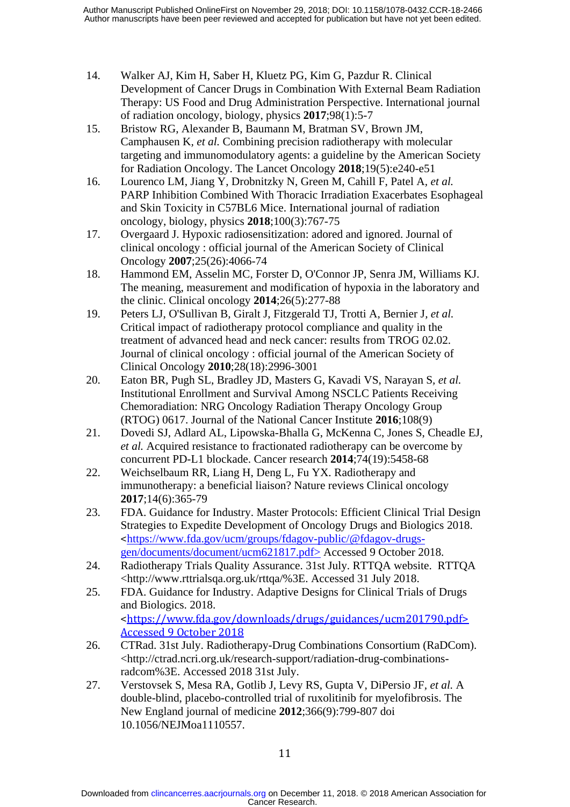- 14. Walker AJ, Kim H, Saber H, Kluetz PG, Kim G, Pazdur R. Clinical Development of Cancer Drugs in Combination With External Beam Radiation Therapy: US Food and Drug Administration Perspective. International journal of radiation oncology, biology, physics **2017**;98(1):5-7
- 15. Bristow RG, Alexander B, Baumann M, Bratman SV, Brown JM, Camphausen K*, et al.* Combining precision radiotherapy with molecular targeting and immunomodulatory agents: a guideline by the American Society for Radiation Oncology. The Lancet Oncology **2018**;19(5):e240-e51
- 16. Lourenco LM, Jiang Y, Drobnitzky N, Green M, Cahill F, Patel A*, et al.* PARP Inhibition Combined With Thoracic Irradiation Exacerbates Esophageal and Skin Toxicity in C57BL6 Mice. International journal of radiation oncology, biology, physics **2018**;100(3):767-75
- 17. Overgaard J. Hypoxic radiosensitization: adored and ignored. Journal of clinical oncology : official journal of the American Society of Clinical Oncology **2007**;25(26):4066-74
- 18. Hammond EM, Asselin MC, Forster D, O'Connor JP, Senra JM, Williams KJ. The meaning, measurement and modification of hypoxia in the laboratory and the clinic. Clinical oncology **2014**;26(5):277-88
- 19. Peters LJ, O'Sullivan B, Giralt J, Fitzgerald TJ, Trotti A, Bernier J*, et al.* Critical impact of radiotherapy protocol compliance and quality in the treatment of advanced head and neck cancer: results from TROG 02.02. Journal of clinical oncology : official journal of the American Society of Clinical Oncology **2010**;28(18):2996-3001
- 20. Eaton BR, Pugh SL, Bradley JD, Masters G, Kavadi VS, Narayan S*, et al.* Institutional Enrollment and Survival Among NSCLC Patients Receiving Chemoradiation: NRG Oncology Radiation Therapy Oncology Group (RTOG) 0617. Journal of the National Cancer Institute **2016**;108(9)
- 21. Dovedi SJ, Adlard AL, Lipowska-Bhalla G, McKenna C, Jones S, Cheadle EJ*, et al.* Acquired resistance to fractionated radiotherapy can be overcome by concurrent PD-L1 blockade. Cancer research **2014**;74(19):5458-68
- 22. Weichselbaum RR, Liang H, Deng L, Fu YX. Radiotherapy and immunotherapy: a beneficial liaison? Nature reviews Clinical oncology **2017**;14(6):365-79
- 23. FDA. Guidance for Industry. Master Protocols: Efficient Clinical Trial Design Strategies to Expedite Development of Oncology Drugs and Biologics 2018. <[https://www.fda.gov/ucm/groups/fdagov-public/@fdagov-drugs](https://www.fda.gov/ucm/groups/fdagov-public/@fdagov-drugs-gen/documents/document/ucm621817.pdf)[gen/documents/document/ucm621817.pdf>](https://www.fda.gov/ucm/groups/fdagov-public/@fdagov-drugs-gen/documents/document/ucm621817.pdf) Accessed 9 October 2018.
- 24. Radiotherapy Trials Quality Assurance. 31st July. RTTQA website. RTTQA <http://www.rttrialsqa.org.uk/rttqa/%3E. Accessed 31 July 2018.
- 25. FDA. Guidance for Industry. Adaptive Designs for Clinical Trials of Drugs and Biologics. 2018. [<https://www.fda.gov/downloads/drugs/guidances/ucm201790.pdf>](https://www.fda.gov/downloads/drugs/guidances/ucm201790.pdf) Accessed 9 October 2018
- 26. CTRad. 31st July. Radiotherapy-Drug Combinations Consortium (RaDCom). <http://ctrad.ncri.org.uk/research-support/radiation-drug-combinationsradcom%3E. Accessed 2018 31st July.
- 27. Verstovsek S, Mesa RA, Gotlib J, Levy RS, Gupta V, DiPersio JF*, et al.* A double-blind, placebo-controlled trial of ruxolitinib for myelofibrosis. The New England journal of medicine **2012**;366(9):799-807 doi 10.1056/NEJMoa1110557.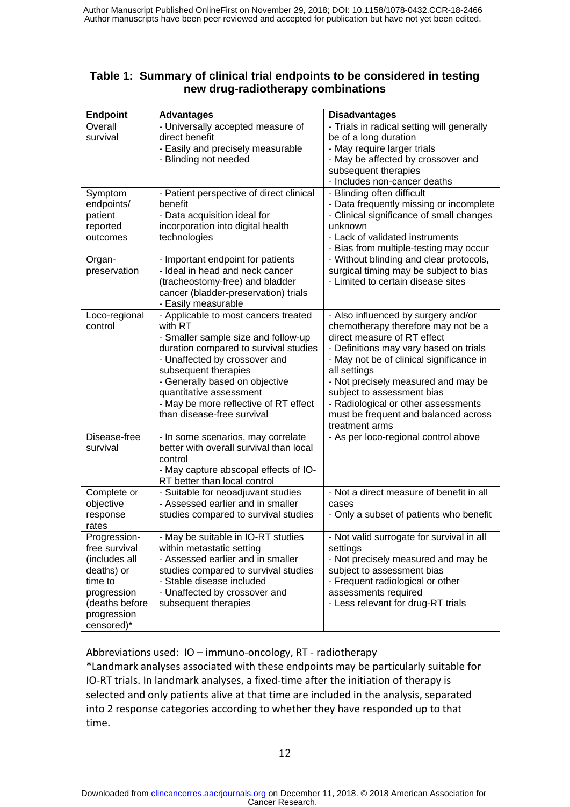| <b>Endpoint</b> | <b>Advantages</b>                        | <b>Disadvantages</b>                       |
|-----------------|------------------------------------------|--------------------------------------------|
| Overall         | - Universally accepted measure of        | - Trials in radical setting will generally |
| survival        | direct benefit                           | be of a long duration                      |
|                 | - Easily and precisely measurable        | - May require larger trials                |
|                 | - Blinding not needed                    | - May be affected by crossover and         |
|                 |                                          | subsequent therapies                       |
|                 |                                          | - Includes non-cancer deaths               |
| Symptom         | - Patient perspective of direct clinical | - Blinding often difficult                 |
| endpoints/      | benefit                                  | - Data frequently missing or incomplete    |
| patient         | - Data acquisition ideal for             | - Clinical significance of small changes   |
| reported        | incorporation into digital health        | unknown                                    |
| outcomes        | technologies                             | - Lack of validated instruments            |
|                 |                                          | - Bias from multiple-testing may occur     |
| Organ-          | - Important endpoint for patients        | - Without blinding and clear protocols,    |
| preservation    | - Ideal in head and neck cancer          | surgical timing may be subject to bias     |
|                 | (tracheostomy-free) and bladder          | - Limited to certain disease sites         |
|                 | cancer (bladder-preservation) trials     |                                            |
|                 | - Easily measurable                      |                                            |
| Loco-regional   | - Applicable to most cancers treated     | - Also influenced by surgery and/or        |
| control         | with RT                                  | chemotherapy therefore may not be a        |
|                 | - Smaller sample size and follow-up      | direct measure of RT effect                |
|                 | duration compared to survival studies    | - Definitions may vary based on trials     |
|                 | - Unaffected by crossover and            | - May not be of clinical significance in   |
|                 | subsequent therapies                     | all settings                               |
|                 | - Generally based on objective           | - Not precisely measured and may be        |
|                 | quantitative assessment                  | subject to assessment bias                 |
|                 | - May be more reflective of RT effect    | - Radiological or other assessments        |
|                 | than disease-free survival               | must be frequent and balanced across       |
|                 |                                          | treatment arms                             |
| Disease-free    | - In some scenarios, may correlate       | - As per loco-regional control above       |
| survival        | better with overall survival than local  |                                            |
|                 | control                                  |                                            |
|                 | - May capture abscopal effects of IO-    |                                            |
|                 | RT better than local control             |                                            |
| Complete or     | - Suitable for neoadjuvant studies       | - Not a direct measure of benefit in all   |
| objective       | - Assessed earlier and in smaller        | cases                                      |
| response        | studies compared to survival studies     | - Only a subset of patients who benefit    |
| rates           |                                          |                                            |
| Progression-    | - May be suitable in IO-RT studies       | - Not valid surrogate for survival in all  |
| free survival   | within metastatic setting                | settings                                   |
| (includes all   | - Assessed earlier and in smaller        | - Not precisely measured and may be        |
| deaths) or      | studies compared to survival studies     | subject to assessment bias                 |
| time to         | - Stable disease included                | - Frequent radiological or other           |
| progression     | - Unaffected by crossover and            | assessments required                       |
| (deaths before  | subsequent therapies                     | - Less relevant for drug-RT trials         |
| progression     |                                          |                                            |
| censored)*      |                                          |                                            |

# **Table 1: Summary of clinical trial endpoints to be considered in testing new drug-radiotherapy combinations**

Abbreviations used: IO – immuno-oncology, RT - radiotherapy

\*Landmark analyses associated with these endpoints may be particularly suitable for IO-RT trials. In landmark analyses, a fixed-time after the initiation of therapy is selected and only patients alive at that time are included in the analysis, separated into 2 response categories according to whether they have responded up to that time.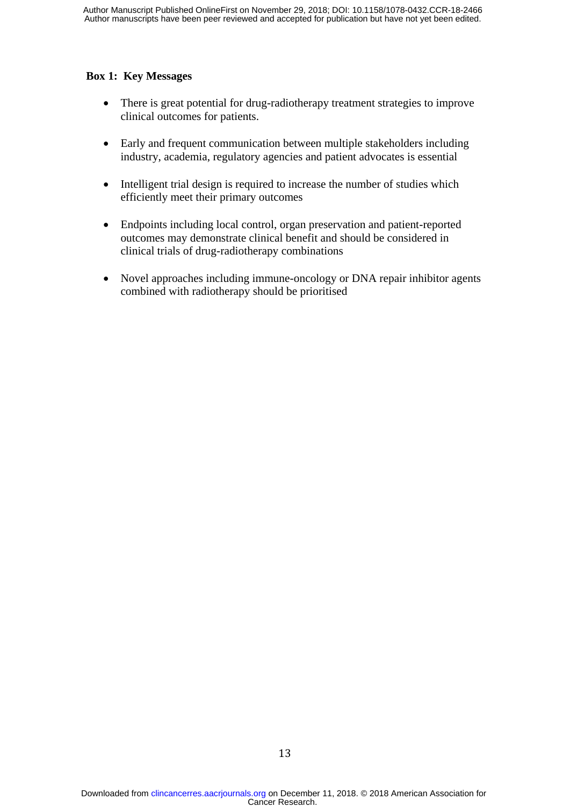# **Box 1: Key Messages**

- There is great potential for drug-radiotherapy treatment strategies to improve clinical outcomes for patients.
- Early and frequent communication between multiple stakeholders including industry, academia, regulatory agencies and patient advocates is essential
- Intelligent trial design is required to increase the number of studies which efficiently meet their primary outcomes
- Endpoints including local control, organ preservation and patient-reported outcomes may demonstrate clinical benefit and should be considered in clinical trials of drug-radiotherapy combinations
- Novel approaches including immune-oncology or DNA repair inhibitor agents combined with radiotherapy should be prioritised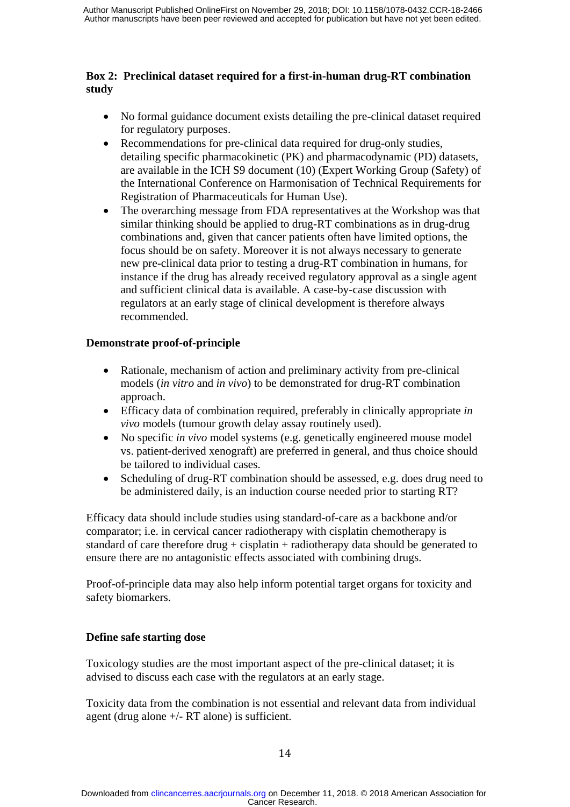# **Box 2: Preclinical dataset required for a first-in-human drug-RT combination study**

- No formal guidance document exists detailing the pre-clinical dataset required for regulatory purposes.
- Recommendations for pre-clinical data required for drug-only studies, detailing specific pharmacokinetic (PK) and pharmacodynamic (PD) datasets, are available in the ICH S9 document (10) (Expert Working Group (Safety) of the International Conference on Harmonisation of Technical Requirements for Registration of Pharmaceuticals for Human Use).
- The overarching message from FDA representatives at the Workshop was that similar thinking should be applied to drug-RT combinations as in drug-drug combinations and, given that cancer patients often have limited options, the focus should be on safety. Moreover it is not always necessary to generate new pre-clinical data prior to testing a drug-RT combination in humans, for instance if the drug has already received regulatory approval as a single agent and sufficient clinical data is available. A case-by-case discussion with regulators at an early stage of clinical development is therefore always recommended.

# **Demonstrate proof-of-principle**

- Rationale, mechanism of action and preliminary activity from pre-clinical models (*in vitro* and *in vivo*) to be demonstrated for drug-RT combination approach.
- Efficacy data of combination required, preferably in clinically appropriate *in vivo* models (tumour growth delay assay routinely used).
- No specific *in vivo* model systems (e.g. genetically engineered mouse model vs. patient-derived xenograft) are preferred in general, and thus choice should be tailored to individual cases.
- Scheduling of drug-RT combination should be assessed, e.g. does drug need to be administered daily, is an induction course needed prior to starting RT?

Efficacy data should include studies using standard-of-care as a backbone and/or comparator; i.e. in cervical cancer radiotherapy with cisplatin chemotherapy is standard of care therefore  $\text{drug} + \text{cisplatin} + \text{radiother}$  and  $\text{data}$  should be generated to ensure there are no antagonistic effects associated with combining drugs.

Proof-of-principle data may also help inform potential target organs for toxicity and safety biomarkers.

# **Define safe starting dose**

Toxicology studies are the most important aspect of the pre-clinical dataset; it is advised to discuss each case with the regulators at an early stage.

Toxicity data from the combination is not essential and relevant data from individual agent (drug alone  $+/- RT$  alone) is sufficient.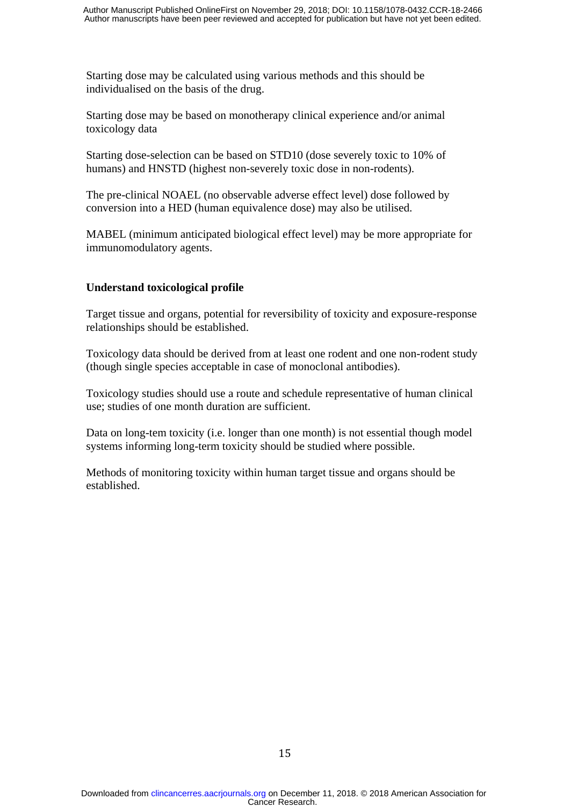Starting dose may be calculated using various methods and this should be individualised on the basis of the drug.

Starting dose may be based on monotherapy clinical experience and/or animal toxicology data

Starting dose-selection can be based on STD10 (dose severely toxic to 10% of humans) and HNSTD (highest non-severely toxic dose in non-rodents).

The pre-clinical NOAEL (no observable adverse effect level) dose followed by conversion into a HED (human equivalence dose) may also be utilised.

MABEL (minimum anticipated biological effect level) may be more appropriate for immunomodulatory agents.

# **Understand toxicological profile**

Target tissue and organs, potential for reversibility of toxicity and exposure-response relationships should be established.

Toxicology data should be derived from at least one rodent and one non-rodent study (though single species acceptable in case of monoclonal antibodies).

Toxicology studies should use a route and schedule representative of human clinical use; studies of one month duration are sufficient.

Data on long-tem toxicity (i.e. longer than one month) is not essential though model systems informing long-term toxicity should be studied where possible.

Methods of monitoring toxicity within human target tissue and organs should be established.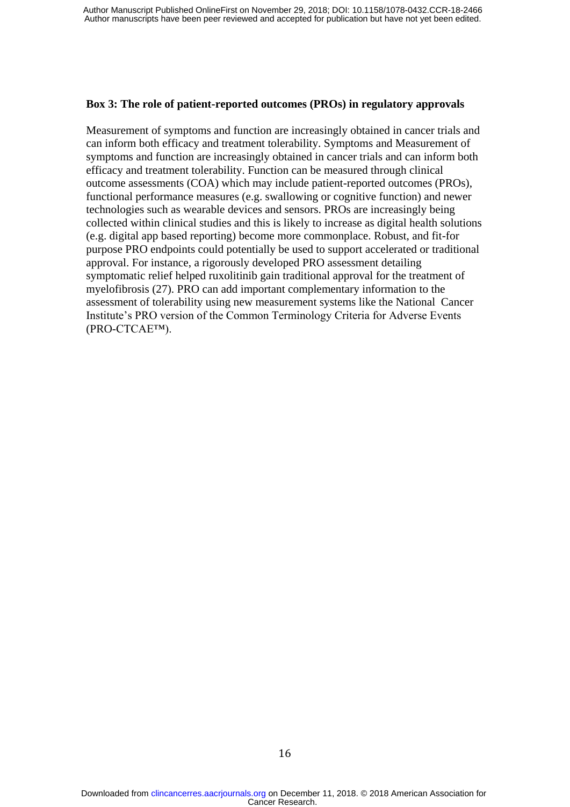#### **Box 3: The role of patient-reported outcomes (PROs) in regulatory approvals**

Measurement of symptoms and function are increasingly obtained in cancer trials and can inform both efficacy and treatment tolerability. Symptoms and Measurement of symptoms and function are increasingly obtained in cancer trials and can inform both efficacy and treatment tolerability. Function can be measured through clinical outcome assessments (COA) which may include patient-reported outcomes (PROs), functional performance measures (e.g. swallowing or cognitive function) and newer technologies such as wearable devices and sensors. PROs are increasingly being collected within clinical studies and this is likely to increase as digital health solutions (e.g. digital app based reporting) become more commonplace. Robust, and fit-for purpose PRO endpoints could potentially be used to support accelerated or traditional approval. For instance, a rigorously developed PRO assessment detailing symptomatic relief helped ruxolitinib gain traditional approval for the treatment of myelofibrosis (27). PRO can add important complementary information to the assessment of tolerability using new measurement systems like the National Cancer Institute's PRO version of the Common Terminology Criteria for Adverse Events (PRO-CTCAE™).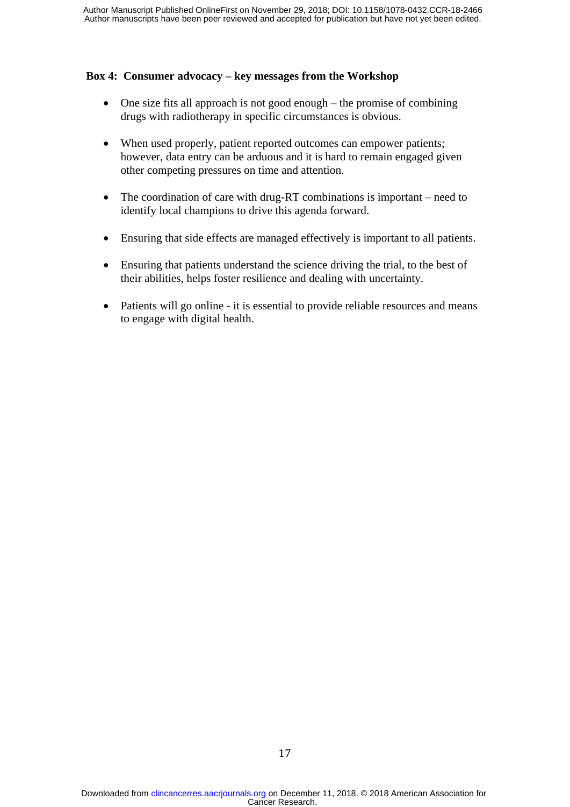# **Box 4: Consumer advocacy – key messages from the Workshop**

- One size fits all approach is not good enough the promise of combining drugs with radiotherapy in specific circumstances is obvious.
- When used properly, patient reported outcomes can empower patients; however, data entry can be arduous and it is hard to remain engaged given other competing pressures on time and attention.
- The coordination of care with drug-RT combinations is important need to identify local champions to drive this agenda forward.
- Ensuring that side effects are managed effectively is important to all patients.
- Ensuring that patients understand the science driving the trial, to the best of their abilities, helps foster resilience and dealing with uncertainty.
- Patients will go online it is essential to provide reliable resources and means to engage with digital health.